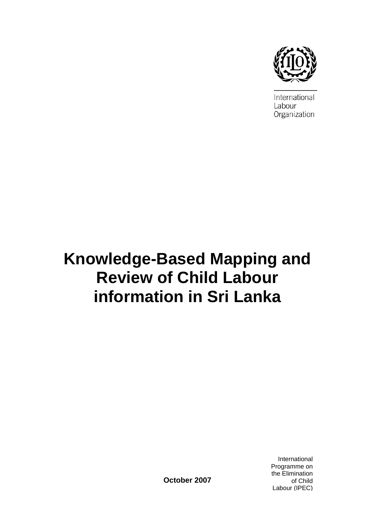

International Labour Organization

# **Knowledge-Based Mapping and Review of Child Labour information in Sri Lanka**

**October 2007** 

International Programme on the Elimination of Child Labour (IPEC)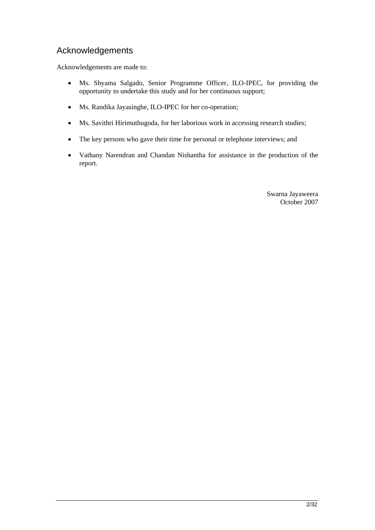## Acknowledgements

Acknowledgements are made to:

- Ms. Shyama Salgado, Senior Programme Officer, ILO-IPEC, for providing the opportunity to undertake this study and for her continuous support;
- Ms. Randika Jayasinghe, ILO-IPEC for her co-operation;
- Ms. Savithri Hirimuthugoda, for her laborious work in accessing research studies;
- The key persons who gave their time for personal or telephone interviews; and
- Vathany Narendran and Chandan Nishantha for assistance in the production of the report.

Swarna Jayaweera October 2007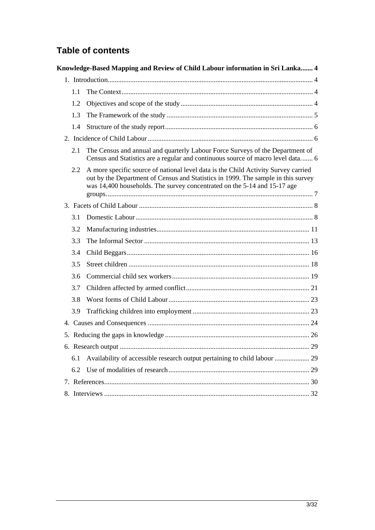# **Table of contents**

|     | Knowledge-Based Mapping and Review of Child Labour information in Sri Lanka 4                                                                                                                                                                       |  |
|-----|-----------------------------------------------------------------------------------------------------------------------------------------------------------------------------------------------------------------------------------------------------|--|
|     |                                                                                                                                                                                                                                                     |  |
| 1.1 |                                                                                                                                                                                                                                                     |  |
| 1.2 |                                                                                                                                                                                                                                                     |  |
| 1.3 |                                                                                                                                                                                                                                                     |  |
| 1.4 |                                                                                                                                                                                                                                                     |  |
|     |                                                                                                                                                                                                                                                     |  |
| 2.1 | The Census and annual and quarterly Labour Force Surveys of the Department of<br>Census and Statistics are a regular and continuous source of macro level data 6                                                                                    |  |
| 2.2 | A more specific source of national level data is the Child Activity Survey carried<br>out by the Department of Census and Statistics in 1999. The sample in this survey<br>was 14,400 households. The survey concentrated on the 5-14 and 15-17 age |  |
|     |                                                                                                                                                                                                                                                     |  |
| 3.1 |                                                                                                                                                                                                                                                     |  |
| 3.2 |                                                                                                                                                                                                                                                     |  |
| 3.3 |                                                                                                                                                                                                                                                     |  |
| 3.4 |                                                                                                                                                                                                                                                     |  |
| 3.5 |                                                                                                                                                                                                                                                     |  |
| 3.6 |                                                                                                                                                                                                                                                     |  |
| 3.7 |                                                                                                                                                                                                                                                     |  |
| 3.8 |                                                                                                                                                                                                                                                     |  |
| 3.9 |                                                                                                                                                                                                                                                     |  |
|     |                                                                                                                                                                                                                                                     |  |
|     |                                                                                                                                                                                                                                                     |  |
|     |                                                                                                                                                                                                                                                     |  |
| 6.1 | Availability of accessible research output pertaining to child labour  29                                                                                                                                                                           |  |
| 6.2 |                                                                                                                                                                                                                                                     |  |
|     |                                                                                                                                                                                                                                                     |  |
|     |                                                                                                                                                                                                                                                     |  |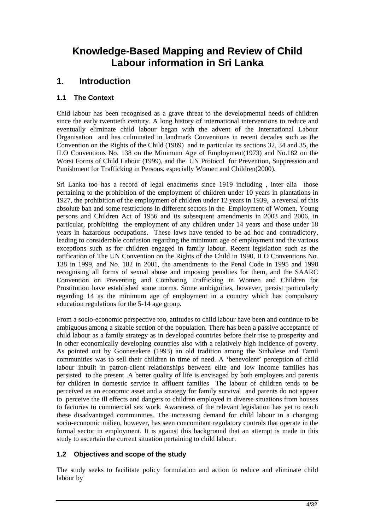# **Knowledge-Based Mapping and Review of Child Labour information in Sri Lanka**

# **1. Introduction**

### **1.1 The Context**

Chid labour has been recognised as a grave threat to the developmental needs of children since the early twentieth century. A long history of international interventions to reduce and eventually eliminate child labour began with the advent of the International Labour Organisation and has culminated in landmark Conventions in recent decades such as the Convention on the Rights of the Child (1989) and in particular its sections 32, 34 and 35, the ILO Conventions No. 138 on the Minimum Age of Employment(1973) and No.182 on the Worst Forms of Child Labour (1999), and the UN Protocol for Prevention, Suppression and Punishment for Trafficking in Persons, especially Women and Children(2000).

Sri Lanka too has a record of legal enactments since 1919 including , inter alia those pertaining to the prohibition of the employment of children under 10 years in plantations in 1927, the prohibition of the employment of children under 12 years in 1939, a reversal of this absolute ban and some restrictions in different sectors in the Employment of Women, Young persons and Children Act of 1956 and its subsequent amendments in 2003 and 2006, in particular, prohibiting the employment of any children under 14 years and those under 18 years in hazardous occupations. These laws have tended to be ad hoc and contradictory, leading to considerable confusion regarding the minimum age of employment and the various exceptions such as for children engaged in family labour. Recent legislation such as the ratification of The UN Convention on the Rights of the Child in 1990, ILO Conventions No. 138 in 1999, and No. 182 in 2001, the amendments to the Penal Code in 1995 and 1998 recognising all forms of sexual abuse and imposing penalties for them, and the SAARC Convention on Preventing and Combating Trafficking in Women and Children for Prostitution have established some norms. Some ambiguities, however, persist particularly regarding 14 as the minimum age of employment in a country which has compulsory education regulations for the 5-14 age group.

From a socio-economic perspective too, attitudes to child labour have been and continue to be ambiguous among a sizable section of the population. There has been a passive acceptance of child labour as a family strategy as in developed countries before their rise to prosperity and in other economically developing countries also with a relatively high incidence of poverty. As pointed out by Goonesekere (1993) an old tradition among the Sinhalese and Tamil communities was to sell their children in time of need. A 'benevolent' perception of child labour inbuilt in patron-client relationships between elite and low income families has persisted to the present .A better quality of life is envisaged by both employers and parents for children in domestic service in affluent families The labour of children tends to be perceived as an economic asset and a strategy for family survival and parents do not appear to perceive the ill effects and dangers to children employed in diverse situations from houses to factories to commercial sex work. Awareness of the relevant legislation has yet to reach these disadvantaged communities. The increasing demand for child labour in a changing socio-economic milieu, however, has seen concomitant regulatory controls that operate in the formal sector in employment. It is against this background that an attempt is made in this study to ascertain the current situation pertaining to child labour.

#### **1.2 Objectives and scope of the study**

The study seeks to facilitate policy formulation and action to reduce and eliminate child labour by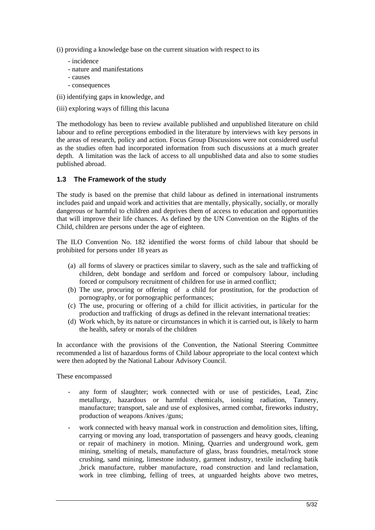(i) providing a knowledge base on the current situation with respect to its

- incidence
- nature and manifestations
- causes
- consequences
- (ii) identifying gaps in knowledge, and
- (iii) exploring ways of filling this lacuna

The methodology has been to review available published and unpublished literature on child labour and to refine perceptions embodied in the literature by interviews with key persons in the areas of research, policy and action. Focus Group Discussions were not considered useful as the studies often had incorporated information from such discussions at a much greater depth. A limitation was the lack of access to all unpublished data and also to some studies published abroad.

#### **1.3 The Framework of the study**

The study is based on the premise that child labour as defined in international instruments includes paid and unpaid work and activities that are mentally, physically, socially, or morally dangerous or harmful to children and deprives them of access to education and opportunities that will improve their life chances. As defined by the UN Convention on the Rights of the Child, children are persons under the age of eighteen.

The ILO Convention No. 182 identified the worst forms of child labour that should be prohibited for persons under 18 years as

- (a) all forms of slavery or practices similar to slavery, such as the sale and trafficking of children, debt bondage and serfdom and forced or compulsory labour, including forced or compulsory recruitment of children for use in armed conflict;
- (b) The use, procuring or offering of a child for prostitution, for the production of pornography, or for pornographic performances;
- (c) The use, procuring or offering of a child for illicit activities, in particular for the production and trafficking of drugs as defined in the relevant international treaties:
- (d) Work which, by its nature or circumstances in which it is carried out, is likely to harm the health, safety or morals of the children

In accordance with the provisions of the Convention, the National Steering Committee recommended a list of hazardous forms of Child labour appropriate to the local context which were then adopted by the National Labour Advisory Council.

These encompassed

- any form of slaughter; work connected with or use of pesticides, Lead, Zinc metallurgy, hazardous or harmful chemicals, ionising radiation, Tannery, manufacture; transport, sale and use of explosives, armed combat, fireworks industry, production of weapons /knives /guns;
- work connected with heavy manual work in construction and demolition sites, lifting, carrying or moving any load, transportation of passengers and heavy goods, cleaning or repair of machinery in motion. Mining, Quarries and underground work, gem mining, smelting of metals, manufacture of glass, brass foundries, metal/rock stone crushing, sand mining, limestone industry, garment industry, textile including batik ,brick manufacture, rubber manufacture, road construction and land reclamation, work in tree climbing, felling of trees, at unguarded heights above two metres,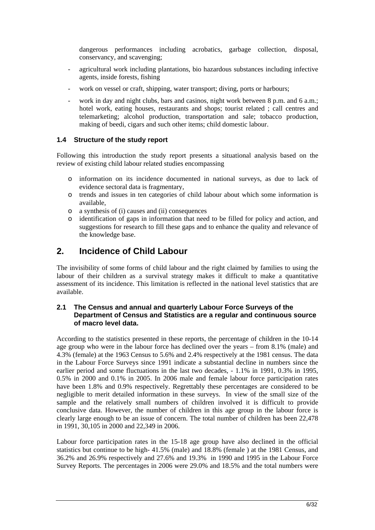dangerous performances including acrobatics, garbage collection, disposal, conservancy, and scavenging;

- agricultural work including plantations, bio hazardous substances including infective agents, inside forests, fishing
- work on vessel or craft, shipping, water transport; diving, ports or harbours;
- work in day and night clubs, bars and casinos, night work between 8 p.m. and 6 a.m.; hotel work, eating houses, restaurants and shops; tourist related ; call centres and telemarketing; alcohol production, transportation and sale; tobacco production, making of beedi, cigars and such other items; child domestic labour.

#### **1.4 Structure of the study report**

Following this introduction the study report presents a situational analysis based on the review of existing child labour related studies encompassing

- o information on its incidence documented in national surveys, as due to lack of evidence sectoral data is fragmentary,
- o trends and issues in ten categories of child labour about which some information is available,
- o a synthesis of (i) causes and (ii) consequences
- o identification of gaps in information that need to be filled for policy and action, and suggestions for research to fill these gaps and to enhance the quality and relevance of the knowledge base.

## **2. Incidence of Child Labour**

The invisibility of some forms of child labour and the right claimed by families to using the labour of their children as a survival strategy makes it difficult to make a quantitative assessment of its incidence. This limitation is reflected in the national level statistics that are available.

#### **2.1 The Census and annual and quarterly Labour Force Surveys of the Department of Census and Statistics are a regular and continuous source of macro level data.**

According to the statistics presented in these reports, the percentage of children in the 10-14 age group who were in the labour force has declined over the years – from 8.1% (male) and 4.3% (female) at the 1963 Census to 5.6% and 2.4% respectively at the 1981 census. The data in the Labour Force Surveys since 1991 indicate a substantial decline in numbers since the earlier period and some fluctuations in the last two decades, - 1.1% in 1991, 0.3% in 1995, 0.5% in 2000 and 0.1% in 2005. In 2006 male and female labour force participation rates have been 1.8% and 0.9% respectively. Regrettably these percentages are considered to be negligible to merit detailed information in these surveys. In view of the small size of the sample and the relatively small numbers of children involved it is difficult to provide conclusive data. However, the number of children in this age group in the labour force is clearly large enough to be an issue of concern. The total number of children has been 22,478 in 1991, 30,105 in 2000 and 22,349 in 2006.

Labour force participation rates in the 15-18 age group have also declined in the official statistics but continue to be high- 41.5% (male) and 18.8% (female ) at the 1981 Census, and 36.2% and 26.9% respectively and 27.6% and 19.3% in 1990 and 1995 in the Labour Force Survey Reports. The percentages in 2006 were 29.0% and 18.5% and the total numbers were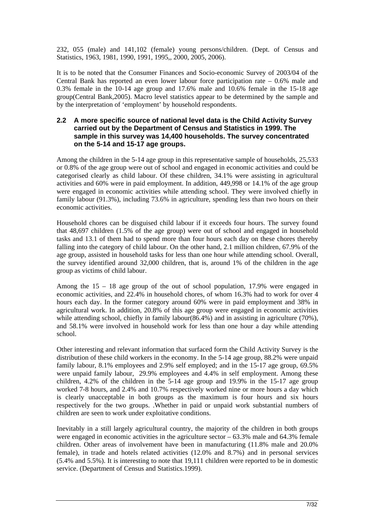232, 055 (male) and 141,102 (female) young persons/children. (Dept. of Census and Statistics, 1963, 1981, 1990, 1991, 1995,, 2000, 2005, 2006).

It is to be noted that the Consumer Finances and Socio-economic Survey of 2003/04 of the Central Bank has reported an even lower labour force participation rate – 0.6% male and 0.3% female in the 10-14 age group and 17.6% male and 10.6% female in the 15-18 age group(Central Bank,2005). Macro level statistics appear to be determined by the sample and by the interpretation of 'employment' by household respondents.

#### **2.2 A more specific source of national level data is the Child Activity Survey carried out by the Department of Census and Statistics in 1999. The sample in this survey was 14,400 households. The survey concentrated on the 5-14 and 15-17 age groups.**

Among the children in the 5-14 age group in this representative sample of households, 25,533 or 0.8% of the age group were out of school and engaged in economic activities and could be categorised clearly as child labour. Of these children, 34.1% were assisting in agricultural activities and 60% were in paid employment. In addition, 449,998 or 14.1% of the age group were engaged in economic activities while attending school. They were involved chiefly in family labour (91.3%), including 73.6% in agriculture, spending less than two hours on their economic activities.

Household chores can be disguised child labour if it exceeds four hours. The survey found that 48,697 children (1.5% of the age group) were out of school and engaged in household tasks and 13.1 of them had to spend more than four hours each day on these chores thereby falling into the category of child labour. On the other hand, 2.1 million children, 67.9% of the age group, assisted in household tasks for less than one hour while attending school. Overall, the survey identified around 32,000 children, that is, around 1% of the children in the age group as victims of child labour.

Among the  $15 - 18$  age group of the out of school population, 17.9% were engaged in economic activities, and 22.4% in household chores, of whom 16.3% had to work for over 4 hours each day. In the former category around 60% were in paid employment and 38% in agricultural work. In addition, 20.8% of this age group were engaged in economic activities while attending school, chiefly in family labour(86.4%) and in assisting in agriculture (70%), and 58.1% were involved in household work for less than one hour a day while attending school.

Other interesting and relevant information that surfaced form the Child Activity Survey is the distribution of these child workers in the economy. In the 5-14 age group, 88.2% were unpaid family labour, 8.1% employees and 2.9% self employed; and in the 15-17 age group, 69.5% were unpaid family labour, 29.9% employees and 4.4% in self employment. Among these children, 4.2% of the children in the 5-14 age group and 19.9% in the 15-17 age group worked 7-8 hours, and 2.4% and 10.7% respectively worked nine or more hours a day which is clearly unacceptable in both groups as the maximum is four hours and six hours respectively for the two groups. .Whether in paid or unpaid work substantial numbers of children are seen to work under exploitative conditions.

Inevitably in a still largely agricultural country, the majority of the children in both groups were engaged in economic activities in the agriculture sector  $-63.3\%$  male and 64.3% female children. Other areas of involvement have been in manufacturing (11.8% male and 20.0% female), in trade and hotels related activities (12.0% and 8.7%) and in personal services (5.4% and 5.5%). It is interesting to note that 19,111 children were reported to be in domestic service. (Department of Census and Statistics.1999).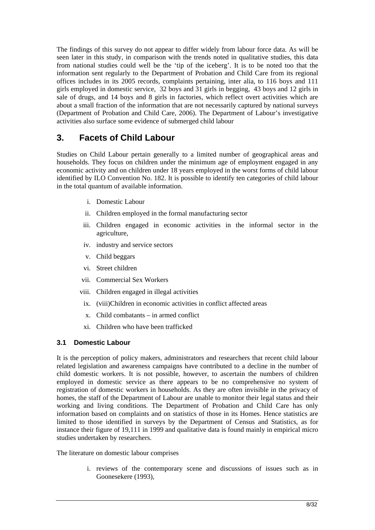The findings of this survey do not appear to differ widely from labour force data. As will be seen later in this study, in comparison with the trends noted in qualitative studies, this data from national studies could well be the 'tip of the iceberg'. It is to be noted too that the information sent regularly to the Department of Probation and Child Care from its regional offices includes in its 2005 records, complaints pertaining, inter alia, to 116 boys and 111 girls employed in domestic service, 32 boys and 31 girls in begging, 43 boys and 12 girls in sale of drugs, and 14 boys and 8 girls in factories, which reflect overt activities which are about a small fraction of the information that are not necessarily captured by national surveys (Department of Probation and Child Care, 2006). The Department of Labour's investigative activities also surface some evidence of submerged child labour

# **3. Facets of Child Labour**

Studies on Child Labour pertain generally to a limited number of geographical areas and households. They focus on children under the minimum age of employment engaged in any economic activity and on children under 18 years employed in the worst forms of child labour identified by ILO Convention No. 182. It is possible to identify ten categories of child labour in the total quantum of available information.

- i. Domestic Labour
- ii. Children employed in the formal manufacturing sector
- iii. Children engaged in economic activities in the informal sector in the agriculture,
- iv. industry and service sectors
- v. Child beggars
- vi. Street children
- vii. Commercial Sex Workers
- viii. Children engaged in illegal activities
	- ix. (viii)Children in economic activities in conflict affected areas
	- x. Child combatants in armed conflict
	- xi. Children who have been trafficked

#### **3.1 Domestic Labour**

It is the perception of policy makers, administrators and researchers that recent child labour related legislation and awareness campaigns have contributed to a decline in the number of child domestic workers. It is not possible, however, to ascertain the numbers of children employed in domestic service as there appears to be no comprehensive no system of registration of domestic workers in households. As they are often invisible in the privacy of homes, the staff of the Department of Labour are unable to monitor their legal status and their working and living conditions. The Department of Probation and Child Care has only information based on complaints and on statistics of those in its Homes. Hence statistics are limited to those identified in surveys by the Department of Census and Statistics, as for instance their figure of 19,111 in 1999 and qualitative data is found mainly in empirical micro studies undertaken by researchers.

The literature on domestic labour comprises

i. reviews of the contemporary scene and discussions of issues such as in Goonesekere (1993),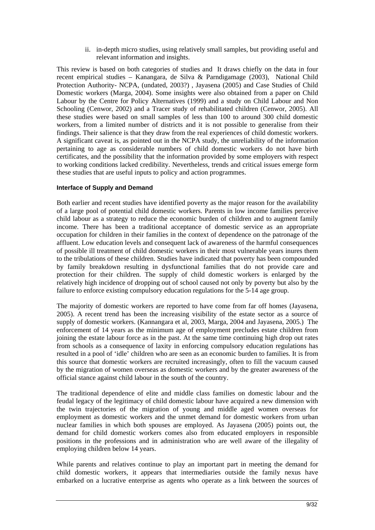ii. in-depth micro studies, using relatively small samples, but providing useful and relevant information and insights.

This review is based on both categories of studies and It draws chiefly on the data in four recent empirical studies – Kanangara, de Silva & Parndigamage (2003), National Child Protection Authority- NCPA, (undated, 2003?) , Jayasena (2005) and Case Studies of Child Domestic workers (Marga, 2004). Some insights were also obtained from a paper on Child Labour by the Centre for Policy Alternatives (1999) and a study on Child Labour and Non Schooling (Cenwor, 2002) and a Tracer study of rehabilitated children (Cenwor, 2005). All these studies were based on small samples of less than 100 to around 300 child domestic workers, from a limited number of districts and it is not possible to generalise from their findings. Their salience is that they draw from the real experiences of child domestic workers. A significant caveat is, as pointed out in the NCPA study, the unreliability of the information pertaining to age as considerable numbers of child domestic workers do not have birth certificates, and the possibility that the information provided by some employers with respect to working conditions lacked credibility. Nevertheless, trends and critical issues emerge form these studies that are useful inputs to policy and action programmes.

#### **Interface of Supply and Demand**

Both earlier and recent studies have identified poverty as the major reason for the availability of a large pool of potential child domestic workers. Parents in low income families perceive child labour as a strategy to reduce the economic burden of children and to augment family income. There has been a traditional acceptance of domestic service as an appropriate occupation for children in their families in the context of dependence on the patronage of the affluent. Low education levels and consequent lack of awareness of the harmful consequences of possible ill treatment of child domestic workers in their most vulnerable years inures them to the tribulations of these children. Studies have indicated that poverty has been compounded by family breakdown resulting in dysfunctional families that do not provide care and protection for their children. The supply of child domestic workers is enlarged by the relatively high incidence of dropping out of school caused not only by poverty but also by the failure to enforce existing compulsory education regulations for the 5-14 age group.

The majority of domestic workers are reported to have come from far off homes (Jayasena, 2005). A recent trend has been the increasing visibility of the estate sector as a source of supply of domestic workers. (Kannangara et al, 2003, Marga, 2004 and Jayasena, 2005.) The enforcement of 14 years as the minimum age of employment precludes estate children from joining the estate labour force as in the past. At the same time continuing high drop out rates from schools as a consequence of laxity in enforcing compulsory education regulations has resulted in a pool of 'idle' children who are seen as an economic burden to families. It is from this source that domestic workers are recruited increasingly, often to fill the vacuum caused by the migration of women overseas as domestic workers and by the greater awareness of the official stance against child labour in the south of the country.

The traditional dependence of elite and middle class families on domestic labour and the feudal legacy of the legitimacy of child domestic labour have acquired a new dimension with the twin trajectories of the migration of young and middle aged women overseas for employment as domestic workers and the unmet demand for domestic workers from urban nuclear families in which both spouses are employed. As Jayasena (2005) points out, the demand for child domestic workers comes also from educated employers in responsible positions in the professions and in administration who are well aware of the illegality of employing children below 14 years.

While parents and relatives continue to play an important part in meeting the demand for child domestic workers, it appears that intermediaries outside the family nexus have embarked on a lucrative enterprise as agents who operate as a link between the sources of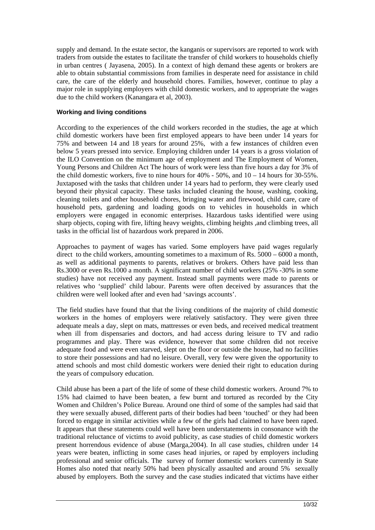supply and demand. In the estate sector, the kanganis or supervisors are reported to work with traders from outside the estates to facilitate the transfer of child workers to households chiefly in urban centres ( Jayasena, 2005). In a context of high demand these agents or brokers are able to obtain substantial commissions from families in desperate need for assistance in child care, the care of the elderly and household chores. Families, however, continue to play a major role in supplying employers with child domestic workers, and to appropriate the wages due to the child workers (Kanangara et al, 2003).

#### **Working and living conditions**

According to the experiences of the child workers recorded in the studies, the age at which child domestic workers have been first employed appears to have been under 14 years for 75% and between 14 and 18 years for around 25%, with a few instances of children even below 5 years pressed into service. Employing children under 14 years is a gross violation of the ILO Convention on the minimum age of employment and The Employment of Women, Young Persons and Children Act The hours of work were less than five hours a day for 3% of the child domestic workers, five to nine hours for  $40\%$  -  $50\%$ , and  $10 - 14$  hours for  $30 - 55\%$ . Juxtaposed with the tasks that children under 14 years had to perform, they were clearly used beyond their physical capacity. These tasks included cleaning the house, washing, cooking, cleaning toilets and other household chores, bringing water and firewood, child care, care of household pets, gardening and loading goods on to vehicles in households in which employers were engaged in economic enterprises. Hazardous tasks identified were using sharp objects, coping with fire, lifting heavy weights, climbing heights ,and climbing trees, all tasks in the official list of hazardous work prepared in 2006.

Approaches to payment of wages has varied. Some employers have paid wages regularly direct to the child workers, amounting sometimes to a maximum of Rs. 5000 – 6000 a month, as well as additional payments to parents, relatives or brokers. Others have paid less than Rs.3000 or even Rs.1000 a month. A significant number of child workers (25% -30% in some studies) have not received any payment. Instead small payments were made to parents or relatives who 'supplied' child labour. Parents were often deceived by assurances that the children were well looked after and even had 'savings accounts'.

The field studies have found that that the living conditions of the majority of child domestic workers in the homes of employers were relatively satisfactory. They were given three adequate meals a day, slept on mats, mattresses or even beds, and received medical treatment when ill from dispensaries and doctors, and had access during leisure to TV and radio programmes and play. There was evidence, however that some children did not receive adequate food and were even starved, slept on the floor or outside the house, had no facilities to store their possessions and had no leisure. Overall, very few were given the opportunity to attend schools and most child domestic workers were denied their right to education during the years of compulsory education.

Child abuse has been a part of the life of some of these child domestic workers. Around 7% to 15% had claimed to have been beaten, a few burnt and tortured as recorded by the City Women and Children's Police Bureau. Around one third of some of the samples had said that they were sexually abused, different parts of their bodies had been 'touched' or they had been forced to engage in similar activities while a few of the girls had claimed to have been raped. It appears that these statements could well have been understatements in consonance with the traditional reluctance of victims to avoid publicity, as case studies of child domestic workers present horrendous evidence of abuse (Marga,2004). In all case studies, children under 14 years were beaten, inflicting in some cases head injuries, or raped by employers including professional and senior officials. The survey of former domestic workers currently in State Homes also noted that nearly 50% had been physically assaulted and around 5% sexually abused by employers. Both the survey and the case studies indicated that victims have either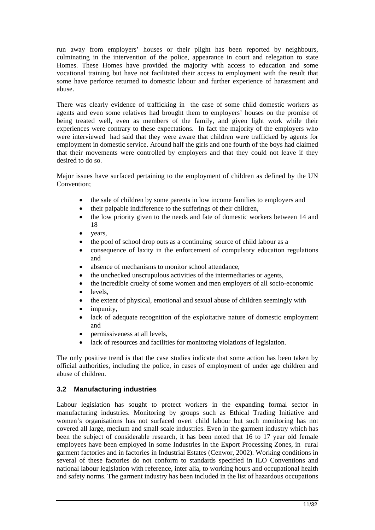run away from employers' houses or their plight has been reported by neighbours, culminating in the intervention of the police, appearance in court and relegation to state Homes. These Homes have provided the majority with access to education and some vocational training but have not facilitated their access to employment with the result that some have perforce returned to domestic labour and further experience of harassment and abuse.

There was clearly evidence of trafficking in the case of some child domestic workers as agents and even some relatives had brought them to employers' houses on the promise of being treated well, even as members of the family, and given light work while their experiences were contrary to these expectations. In fact the majority of the employers who were interviewed had said that they were aware that children were trafficked by agents for employment in domestic service. Around half the girls and one fourth of the boys had claimed that their movements were controlled by employers and that they could not leave if they desired to do so.

Major issues have surfaced pertaining to the employment of children as defined by the UN Convention;

- the sale of children by some parents in low income families to employers and
- their palpable indifference to the sufferings of their children,
- the low priority given to the needs and fate of domestic workers between 14 and 18
- vears.
- the pool of school drop outs as a continuing source of child labour as a
- consequence of laxity in the enforcement of compulsory education regulations and
- absence of mechanisms to monitor school attendance.
- the unchecked unscrupulous activities of the intermediaries or agents,
- the incredible cruelty of some women and men employers of all socio-economic
- levels,
- the extent of physical, emotional and sexual abuse of children seemingly with
- impunity.
- lack of adequate recognition of the exploitative nature of domestic employment and
- permissiveness at all levels,
- lack of resources and facilities for monitoring violations of legislation.

The only positive trend is that the case studies indicate that some action has been taken by official authorities, including the police, in cases of employment of under age children and abuse of children.

#### **3.2 Manufacturing industries**

Labour legislation has sought to protect workers in the expanding formal sector in manufacturing industries. Monitoring by groups such as Ethical Trading Initiative and women's organisations has not surfaced overt child labour but such monitoring has not covered all large, medium and small scale industries. Even in the garment industry which has been the subject of considerable research, it has been noted that 16 to 17 year old female employees have been employed in some Industries in the Export Processing Zones, in rural garment factories and in factories in Industrial Estates (Cenwor, 2002). Working conditions in several of these factories do not conform to standards specified in ILO Conventions and national labour legislation with reference, inter alia, to working hours and occupational health and safety norms. The garment industry has been included in the list of hazardous occupations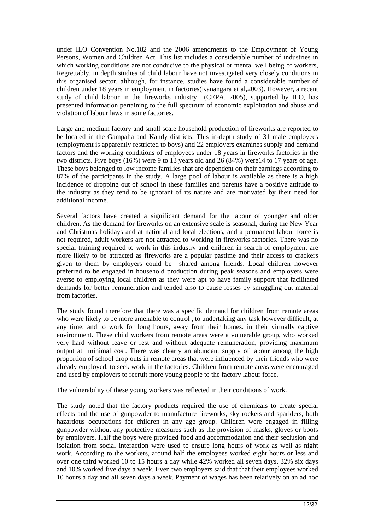under ILO Convention No.182 and the 2006 amendments to the Employment of Young Persons, Women and Children Act. This list includes a considerable number of industries in which working conditions are not conducive to the physical or mental well being of workers, Regrettably, in depth studies of child labour have not investigated very closely conditions in this organised sector, although, for instance, studies have found a considerable number of children under 18 years in employment in factories(Kanangara et al,2003). However, a recent study of child labour in the fireworks industry (CEPA, 2005), supported by ILO, has presented information pertaining to the full spectrum of economic exploitation and abuse and violation of labour laws in some factories.

Large and medium factory and small scale household production of fireworks are reported to be located in the Gampaha and Kandy districts. This in-depth study of 31 male employees (employment is apparently restricted to boys) and 22 employers examines supply and demand factors and the working conditions of employees under 18 years in fireworks factories in the two districts. Five boys (16%) were 9 to 13 years old and 26 (84%) were14 to 17 years of age. These boys belonged to low income families that are dependent on their earnings according to 87% of the participants in the study. A large pool of labour is available as there is a high incidence of dropping out of school in these families and parents have a positive attitude to the industry as they tend to be ignorant of its nature and are motivated by their need for additional income.

Several factors have created a significant demand for the labour of younger and older children. As the demand for fireworks on an extensive scale is seasonal, during the New Year and Christmas holidays and at national and local elections, and a permanent labour force is not required, adult workers are not attracted to working in fireworks factories. There was no special training required to work in this industry and children in search of employment are more likely to be attracted as fireworks are a popular pastime and their access to crackers given to them by employers could be shared among friends. Local children however preferred to be engaged in household production during peak seasons and employers were averse to employing local children as they were apt to have family support that facilitated demands for better remuneration and tended also to cause losses by smuggling out material from factories.

The study found therefore that there was a specific demand for children from remote areas who were likely to be more amenable to control , to undertaking any task however difficult, at any time, and to work for long hours, away from their homes. in their virtually captive environment. These child workers from remote areas were a vulnerable group, who worked very hard without leave or rest and without adequate remuneration, providing maximum output at minimal cost. There was clearly an abundant supply of labour among the high proportion of school drop outs in remote areas that were influenced by their friends who were already employed, to seek work in the factories. Children from remote areas were encouraged and used by employers to recruit more young people to the factory labour force.

The vulnerability of these young workers was reflected in their conditions of work.

The study noted that the factory products required the use of chemicals to create special effects and the use of gunpowder to manufacture fireworks, sky rockets and sparklers, both hazardous occupations for children in any age group. Children were engaged in filling gunpowder without any protective measures such as the provision of masks, gloves or boots by employers. Half the boys were provided food and accommodation and their seclusion and isolation from social interaction were used to ensure long hours of work as well as night work. According to the workers, around half the employees worked eight hours or less and over one third worked 10 to 15 hours a day while 42% worked all seven days, 32% six days and 10% worked five days a week. Even two employers said that that their employees worked 10 hours a day and all seven days a week. Payment of wages has been relatively on an ad hoc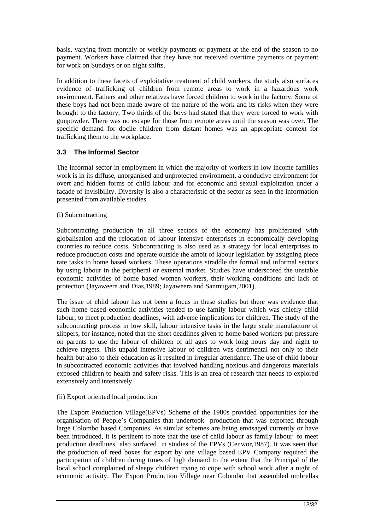basis, varying from monthly or weekly payments or payment at the end of the season to no payment. Workers have claimed that they have not received overtime payments or payment for work on Sundays or on night shifts.

In addition to these facets of exploitative treatment of child workers, the study also surfaces evidence of trafficking of children from remote areas to work in a hazardous work environment. Fathers and other relatives have forced children to work in the factory. Some of these boys had not been made aware of the nature of the work and its risks when they were brought to the factory, Two thirds of the boys had stated that they were forced to work with gunpowder. There was no escape for those from remote areas until the season was over. The specific demand for docile children from distant homes was an appropriate context for trafficking them to the workplace.

#### **3.3 The Informal Sector**

The informal sector in employment in which the majority of workers in low income families work is in its diffuse, unorganised and unprotected environment, a conducive environment for overt and hidden forms of child labour and for economic and sexual exploitation under a façade of invisibility. Diversity is also a characteristic of the sector as seen in the information presented from available studies.

#### (i) Subcontracting

Subcontracting production in all three sectors of the economy has proliferated with globalisation and the relocation of labour intensive enterprises in economically developing countries to reduce costs. Subcontracting is also used as a strategy for local enterprises to reduce production costs and operate outside the ambit of labour legislation by assigning piece rate tasks to home based workers. These operations straddle the formal and informal sectors by using labour in the peripheral or external market. Studies have underscored the unstable economic activities of home based women workers, their working conditions and lack of protection (Jayaweera and Dias,1989; Jayaweera and Sanmugam,2001).

The issue of child labour has not been a focus in these studies but there was evidence that such home based economic activities tended to use family labour which was chiefly child labour, to meet production deadlines, with adverse implications for children. The study of the subcontracting process in low skill, labour intensive tasks in the large scale manufacture of slippers, for instance, noted that the short deadlines given to home based workers put pressure on parents to use the labour of children of all ages to work long hours day and night to achieve targets. This unpaid intensive labour of children was detrimental not only to their health but also to their education as it resulted in irregular attendance. The use of child labour in subcontracted economic activities that involved handling noxious and dangerous materials exposed children to health and safety risks. This is an area of research that needs to explored extensively and intensively.

#### (ii) Export oriented local production

The Export Production Village(EPVs) Scheme of the 1980s provided opportunities for the organisation of People's Companies that undertook production that was exported through large Colombo based Companies. As similar schemes are being envisaged currently or have been introduced, it is pertinent to note that the use of child labour as family labour to meet production deadlines also surfaced in studies of the EPVs (Cenwor,1987). It was seen that the production of reed boxes for export by one village based EPV Company required the participation of children during times of high demand to the extent that the Principal of the local school complained of sleepy children trying to cope with school work after a night of economic activity. The Export Production Village near Colombo that assembled umbrellas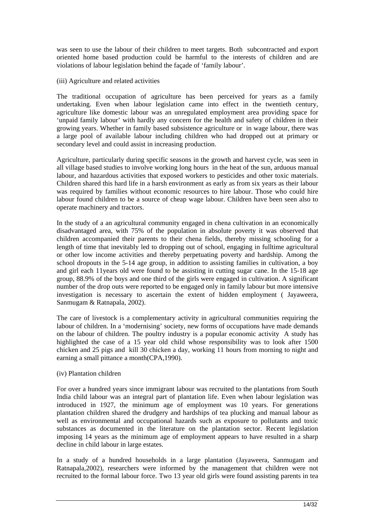was seen to use the labour of their children to meet targets. Both subcontracted and export oriented home based production could be harmful to the interests of children and are violations of labour legislation behind the façade of 'family labour'.

(iii) Agriculture and related activities

The traditional occupation of agriculture has been perceived for years as a family undertaking. Even when labour legislation came into effect in the twentieth century, agriculture like domestic labour was an unregulated employment area providing space for 'unpaid family labour' with hardly any concern for the health and safety of children in their growing years. Whether in family based subsistence agriculture or in wage labour, there was a large pool of available labour including children who had dropped out at primary or secondary level and could assist in increasing production.

Agriculture, particularly during specific seasons in the growth and harvest cycle, was seen in all village based studies to involve working long hours in the heat of the sun, arduous manual labour, and hazardous activities that exposed workers to pesticides and other toxic materials. Children shared this hard life in a harsh environment as early as from six years as their labour was required by families without economic resources to hire labour. Those who could hire labour found children to be a source of cheap wage labour. Children have been seen also to operate machinery and tractors.

In the study of a an agricultural community engaged in chena cultivation in an economically disadvantaged area, with 75% of the population in absolute poverty it was observed that children accompanied their parents to their chena fields, thereby missing schooling for a length of time that inevitably led to dropping out of school, engaging in fulltime agricultural or other low income activities and thereby perpetuating poverty and hardship. Among the school dropouts in the 5-14 age group, in addition to assisting families in cultivation, a boy and girl each 11years old were found to be assisting in cutting sugar cane. In the 15-18 age group, 88.9% of the boys and one third of the girls were engaged in cultivation. A significant number of the drop outs were reported to be engaged only in family labour but more intensive investigation is necessary to ascertain the extent of hidden employment ( Jayaweera, Sanmugam & Ratnapala, 2002).

The care of livestock is a complementary activity in agricultural communities requiring the labour of children. In a 'modernising' society, new forms of occupations have made demands on the labour of children. The poultry industry is a popular economic activity A study has highlighted the case of a 15 year old child whose responsibility was to look after 1500 chicken and 25 pigs and kill 30 chicken a day, working 11 hours from morning to night and earning a small pittance a month(CPA,1990).

#### (iv) Plantation children

For over a hundred years since immigrant labour was recruited to the plantations from South India child labour was an integral part of plantation life. Even when labour legislation was introduced in 1927, the minimum age of employment was 10 years. For generations plantation children shared the drudgery and hardships of tea plucking and manual labour as well as environmental and occupational hazards such as exposure to pollutants and toxic substances as documented in the literature on the plantation sector. Recent legislation imposing 14 years as the minimum age of employment appears to have resulted in a sharp decline in child labour in large estates.

In a study of a hundred households in a large plantation (Jayaweera, Sanmugam and Ratnapala,2002), researchers were informed by the management that children were not recruited to the formal labour force. Two 13 year old girls were found assisting parents in tea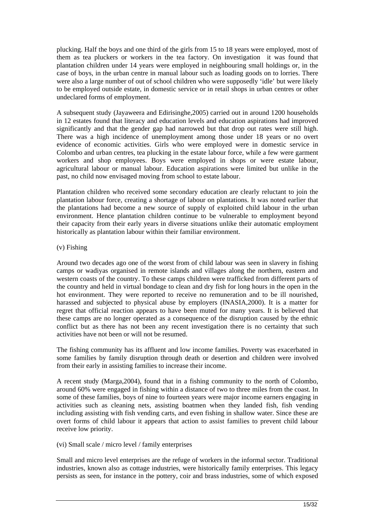plucking. Half the boys and one third of the girls from 15 to 18 years were employed, most of them as tea pluckers or workers in the tea factory. On investigation it was found that plantation children under 14 years were employed in neighbouring small holdings or, in the case of boys, in the urban centre in manual labour such as loading goods on to lorries. There were also a large number of out of school children who were supposedly 'idle' but were likely to be employed outside estate, in domestic service or in retail shops in urban centres or other undeclared forms of employment.

A subsequent study (Jayaweera and Edirisinghe,2005) carried out in around 1200 households in 12 estates found that literacy and education levels and education aspirations had improved significantly and that the gender gap had narrowed but that drop out rates were still high. There was a high incidence of unemployment among those under 18 years or no overt evidence of economic activities. Girls who were employed were in domestic service in Colombo and urban centres, tea plucking in the estate labour force, while a few were garment workers and shop employees. Boys were employed in shops or were estate labour, agricultural labour or manual labour. Education aspirations were limited but unlike in the past, no child now envisaged moving from school to estate labour.

Plantation children who received some secondary education are clearly reluctant to join the plantation labour force, creating a shortage of labour on plantations. It was noted earlier that the plantations had become a new source of supply of exploited child labour in the urban environment. Hence plantation children continue to be vulnerable to employment beyond their capacity from their early years in diverse situations unlike their automatic employment historically as plantation labour within their familiar environment.

#### (v) Fishing

Around two decades ago one of the worst from of child labour was seen in slavery in fishing camps or wadiyas organised in remote islands and villages along the northern, eastern and western coasts of the country. To these camps children were trafficked from different parts of the country and held in virtual bondage to clean and dry fish for long hours in the open in the hot environment. They were reported to receive no remuneration and to be ill nourished, harassed and subjected to physical abuse by employers (INASIA,2000). It is a matter for regret that official reaction appears to have been muted for many years. It is believed that these camps are no longer operated as a consequence of the disruption caused by the ethnic conflict but as there has not been any recent investigation there is no certainty that such activities have not been or will not be resumed.

The fishing community has its affluent and low income families. Poverty was exacerbated in some families by family disruption through death or desertion and children were involved from their early in assisting families to increase their income.

A recent study (Marga,2004), found that in a fishing community to the north of Colombo, around 60% were engaged in fishing within a distance of two to three miles from the coast. In some of these families, boys of nine to fourteen years were major income earners engaging in activities such as cleaning nets, assisting boatmen when they landed fish, fish vending including assisting with fish vending carts, and even fishing in shallow water. Since these are overt forms of child labour it appears that action to assist families to prevent child labour receive low priority.

#### (vi) Small scale / micro level / family enterprises

Small and micro level enterprises are the refuge of workers in the informal sector. Traditional industries, known also as cottage industries, were historically family enterprises. This legacy persists as seen, for instance in the pottery, coir and brass industries, some of which exposed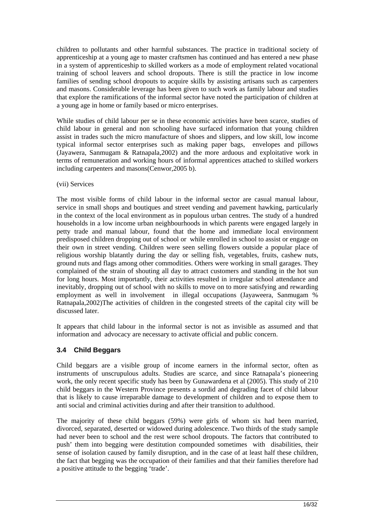children to pollutants and other harmful substances. The practice in traditional society of apprenticeship at a young age to master craftsmen has continued and has entered a new phase in a system of apprenticeship to skilled workers as a mode of employment related vocational training of school leavers and school dropouts. There is still the practice in low income families of sending school dropouts to acquire skills by assisting artisans such as carpenters and masons. Considerable leverage has been given to such work as family labour and studies that explore the ramifications of the informal sector have noted the participation of children at a young age in home or family based or micro enterprises.

While studies of child labour per se in these economic activities have been scarce, studies of child labour in general and non schooling have surfaced information that young children assist in trades such the micro manufacture of shoes and slippers, and low skill, low income typical informal sector enterprises such as making paper bags, envelopes and pillows (Jayawera, Sanmugam & Ratnapala,2002) and the more arduous and exploitative work in terms of remuneration and working hours of informal apprentices attached to skilled workers including carpenters and masons(Cenwor,2005 b).

#### (vii) Services

The most visible forms of child labour in the informal sector are casual manual labour, service in small shops and boutiques and street vending and pavement hawking, particularly in the context of the local environment as in populous urban centres. The study of a hundred households in a low income urban neighbourhoods in which parents were engaged largely in petty trade and manual labour, found that the home and immediate local environment predisposed children dropping out of school or while enrolled in school to assist or engage on their own in street vending. Children were seen selling flowers outside a popular place of religious worship blatantly during the day or selling fish, vegetables, fruits, cashew nuts, ground nuts and flags among other commodities. Others were working in small garages. They complained of the strain of shouting all day to attract customers and standing in the hot sun for long hours. Most importantly, their activities resulted in irregular school attendance and inevitably, dropping out of school with no skills to move on to more satisfying and rewarding employment as well in involvement in illegal occupations (Jayaweera, Sanmugam % Ratnapala,2002)The activities of children in the congested streets of the capital city will be discussed later.

It appears that child labour in the informal sector is not as invisible as assumed and that information and advocacy are necessary to activate official and public concern.

#### **3.4 Child Beggars**

Child beggars are a visible group of income earners in the informal sector, often as instruments of unscrupulous adults. Studies are scarce, and since Ratnapala's pioneering work, the only recent specific study has been by Gunawardena et al (2005). This study of 210 child beggars in the Western Province presents a sordid and degrading facet of child labour that is likely to cause irreparable damage to development of children and to expose them to anti social and criminal activities during and after their transition to adulthood.

The majority of these child beggars (59%) were girls of whom six had been married, divorced, separated, deserted or widowed during adolescence. Two thirds of the study sample had never been to school and the rest were school dropouts. The factors that contributed to push' them into begging were destitution compounded sometimes with disabilities, their sense of isolation caused by family disruption, and in the case of at least half these children, the fact that begging was the occupation of their families and that their families therefore had a positive attitude to the begging 'trade'.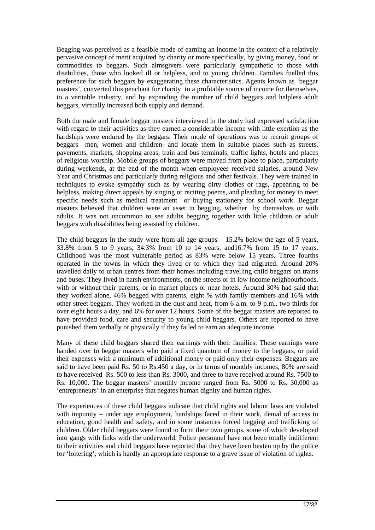Begging was perceived as a feasible mode of earning an income in the context of a relatively pervasive concept of merit acquired by charity or more specifically, by giving money, food or commodities to beggars. Such almsgivers were particularly sympathetic to those with disabilities, those who looked ill or helpless, and to young children. Families fuelled this preference for such beggars by exaggerating these characteristics. Agents known as 'beggar masters', converted this penchant for charity to a profitable source of income for themselves, to a veritable industry, and by expanding the number of child beggars and helpless adult beggars, virtually increased both supply and demand.

Both the male and female beggar masters interviewed in the study had expressed satisfaction with regard to their activities as they earned a considerable income with little exertion as the hardships were endured by the beggars. Their mode of operations was to recruit groups of beggars –men, women and children- and locate them in suitable places such as streets, pavements, markets, shopping areas, train and bus terminals, traffic lights, hotels and places of religious worship. Mobile groups of beggars were moved from place to place, particularly during weekends, at the end of the month when employees received salaries, around New Year and Christmas and particularly during religious and other festivals. They were trained in techniques to evoke sympathy such as by wearing dirty clothes or rags, appearing to be helpless, making direct appeals by singing or reciting poems, and pleading for money to meet specific needs such as medical treatment or buying stationery for school work. Beggar masters believed that children were an asset in begging, whether by themselves or with adults. It was not uncommon to see adults begging together with little children or adult beggars with disabilities being assisted by children.

The child beggars in the study were from all age groups  $-15.2\%$  below the age of 5 years, 33.8% from 5 to 9 years, 34.3% from 10 to 14 years, and16.7% from 15 to 17 years. Childhood was the most vulnerable period as 83% were below 15 years. Three fourths operated in the towns in which they lived or to which they had migrated. Around 20% travelled daily to urban centres from their homes including travelling child beggars on trains and buses. They lived in harsh environments, on the streets or in low income neighbourhoods, with or without their parents, or in market places or near hotels. Around 30% had said that they worked alone, 46% begged with parents, eight % with family members and 16% with other street beggars. They worked in the dust and heat, from 6 a.m. to 9 p.m., two thirds for over eight hours a day, and 6% for over 12 hours. Some of the beggar masters are reported to have provided food, care and security to young child beggars. Others are reported to have punished them verbally or physically if they failed to earn an adequate income.

Many of these child beggars shared their earnings with their families. These earnings were handed over to beggar masters who paid a fixed quantum of money to the beggars, or paid their expenses with a minimum of additional money or paid only their expenses. Beggars are said to have been paid Rs. 50 to Rs.450 a day, or in terms of monthly incomes, 80% are said to have received Rs. 500 to less than Rs. 3000, and three to have received around Rs. 7500 to Rs. 10,000. The beggar masters' monthly income ranged from Rs. 5000 to Rs. 30,000 as 'entrepreneurs' in an enterprise that negates human dignity and human rights.

The experiences of these child beggars indicate that child rights and labour laws are violated with impunity – under age employment, hardships faced in their work, denial of access to education, good health and safety, and in some instances forced begging and trafficking of children. Older child beggars were found to form their own groups, some of which developed into gangs with links with the underworld. Police personnel have not been totally indifferent to their activities and child beggars have reported that they have been beaten up by the police for 'loitering', which is hardly an appropriate response to a grave issue of violation of rights.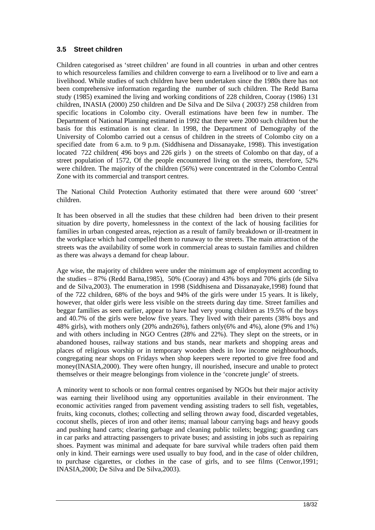#### **3.5 Street children**

Children categorised as 'street children' are found in all countries in urban and other centres to which resourceless families and children converge to earn a livelihood or to live and earn a livelihood. While studies of such children have been undertaken since the 1980s there has not been comprehensive information regarding the number of such children. The Redd Barna study (1985) examined the living and working conditions of 228 children, Cooray (1986) 131 children, INASIA (2000) 250 children and De Silva and De Silva ( 2003?) 258 children from specific locations in Colombo city. Overall estimations have been few in number. The Department of National Planning estimated in 1992 that there were 2000 such children but the basis for this estimation is not clear. In 1998, the Department of Demography of the University of Colombo carried out a census of children in the streets of Colombo city on a specified date from 6 a.m. to 9 p.m. (Siddhisena and Dissanayake, 1998). This investigation located 722 children( 496 boys and 226 girls ) on the streets of Colombo on that day, of a street population of 1572, Of the people encountered living on the streets, therefore, 52% were children. The majority of the children (56%) were concentrated in the Colombo Central Zone with its commercial and transport centres.

The National Child Protection Authority estimated that there were around 600 'street' children.

It has been observed in all the studies that these children had been driven to their present situation by dire poverty, homelessness in the context of the lack of housing facilities for families in urban congested areas, rejection as a result of family breakdown or ill-treatment in the workplace which had compelled them to runaway to the streets. The main attraction of the streets was the availability of some work in commercial areas to sustain families and children as there was always a demand for cheap labour.

Age wise, the majority of children were under the minimum age of employment according to the studies – 87% (Redd Barna,1985), 50% (Cooray) and 43% boys and 70% girls (de Silva and de Silva,2003). The enumeration in 1998 (Siddhisena and Dissanayake,1998) found that of the 722 children, 68% of the boys and 94% of the girls were under 15 years. It is likely, however, that older girls were less visible on the streets during day time. Street families and beggar families as seen earlier, appear to have had very young children as 19.5% of the boys and 40.7% of the girls were below five years. They lived with their parents (38% boys and 48% girls), with mothers only (20% andn26%), fathers only(6% and 4%), alone (9% and 1%) and with others including in NGO Centres (28% and 22%). They slept on the streets, or in abandoned houses, railway stations and bus stands, near markets and shopping areas and places of religious worship or in temporary wooden sheds in low income neighbourhoods, congregating near shops on Fridays when shop keepers were reported to give free food and money(INASIA,2000). They were often hungry, ill nourished, insecure and unable to protect themselves or their meagre belongings from violence in the 'concrete jungle' of streets.

A minority went to schools or non formal centres organised by NGOs but their major activity was earning their livelihood using any opportunities available in their environment. The economic activities ranged from pavement vending assisting traders to sell fish, vegetables, fruits, king coconuts, clothes; collecting and selling thrown away food, discarded vegetables, coconut shells, pieces of iron and other items; manual labour carrying bags and heavy goods and pushing hand carts; clearing garbage and cleaning public toilets; begging; guarding cars in car parks and attracting passengers to private buses; and assisting in jobs such as repairing shoes. Payment was minimal and adequate for bare survival while traders often paid them only in kind. Their earnings were used usually to buy food, and in the case of older children, to purchase cigarettes, or clothes in the case of girls, and to see films (Cenwor,1991; INASIA,2000; De Silva and De Silva,2003).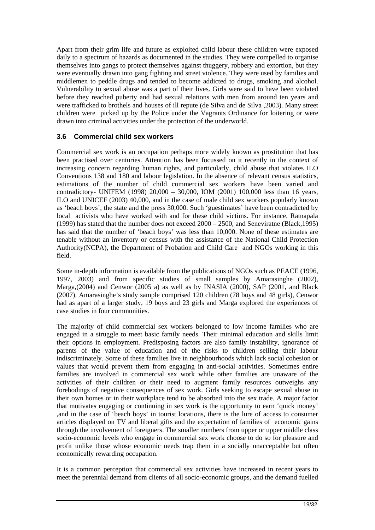Apart from their grim life and future as exploited child labour these children were exposed daily to a spectrum of hazards as documented in the studies. They were compelled to organise themselves into gangs to protect themselves against thuggery, robbery and extortion, but they were eventually drawn into gang fighting and street violence. They were used by families and middlemen to peddle drugs and tended to become addicted to drugs, smoking and alcohol. Vulnerability to sexual abuse was a part of their lives. Girls were said to have been violated before they reached puberty and had sexual relations with men from around ten years and were trafficked to brothels and houses of ill repute (de Silva and de Silva ,2003). Many street children were picked up by the Police under the Vagrants Ordinance for loitering or were drawn into criminal activities under the protection of the underworld.

#### **3.6 Commercial child sex workers**

Commercial sex work is an occupation perhaps more widely known as prostitution that has been practised over centuries. Attention has been focussed on it recently in the context of increasing concern regarding human rights, and particularly, child abuse that violates ILO Conventions 138 and 180 and labour legislation. In the absence of relevant census statistics, estimations of the number of child commercial sex workers have been varied and contradictory- UNIFEM (1998) 20,000 – 30,000, IOM (2001) 100,000 less than 16 years, ILO and UNICEF (2003) 40,000, and in the case of male child sex workers popularly known as 'beach boys', the state and the press 30,000. Such 'guestimates' have been contradicted by local activists who have worked with and for these child victims. For instance, Ratnapala (1999) has stated that the number does not exceed 2000 – 2500, and Seneviratne (Black,1995) has said that the number of 'beach boys' was less than 10,000. None of these estimates are tenable without an inventory or census with the assistance of the National Child Protection Authority(NCPA), the Department of Probation and Child Care and NGOs working in this field.

Some in-depth information is available from the publications of NGOs such as PEACE (1996, 1997, 2003) and from specific studies of small samples by Amarasinghe (2002), Marga,(2004) and Cenwor (2005 a) as well as by INASIA (2000), SAP (2001, and Black (2007). Amarasinghe's study sample comprised 120 children (78 boys and 48 girls), Cenwor had as apart of a larger study, 19 boys and 23 girls and Marga explored the experiences of case studies in four communities.

The majority of child commercial sex workers belonged to low income families who are engaged in a struggle to meet basic family needs. Their minimal education and skills limit their options in employment. Predisposing factors are also family instability, ignorance of parents of the value of education and of the risks to children selling their labour indiscriminately. Some of these families live in neighbourhoods which lack social cohesion or values that would prevent them from engaging in anti-social activities. Sometimes entire families are involved in commercial sex work while other families are unaware of the activities of their children or their need to augment family resources outweighs any forebodings of negative consequences of sex work. Girls seeking to escape sexual abuse in their own homes or in their workplace tend to be absorbed into the sex trade. A major factor that motivates engaging or continuing in sex work is the opportunity to earn 'quick money' ,and in the case of 'beach boys' in tourist locations, there is the lure of access to consumer articles displayed on TV and liberal gifts and the expectation of families of economic gains through the involvement of foreigners. The smaller numbers from upper or upper middle class socio-economic levels who engage in commercial sex work choose to do so for pleasure and profit unlike those whose economic needs trap them in a socially unacceptable but often economically rewarding occupation.

It is a common perception that commercial sex activities have increased in recent years to meet the perennial demand from clients of all socio-economic groups, and the demand fuelled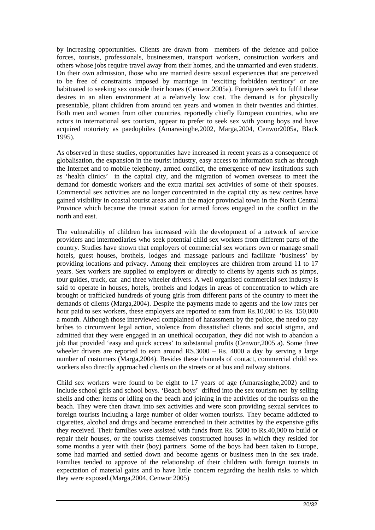by increasing opportunities. Clients are drawn from members of the defence and police forces, tourists, professionals, businessmen, transport workers, construction workers and others whose jobs require travel away from their homes, and the unmarried and even students. On their own admission, those who are married desire sexual experiences that are perceived to be free of constraints imposed by marriage in 'exciting forbidden territory' or are habituated to seeking sex outside their homes (Cenwor,2005a). Foreigners seek to fulfil these desires in an alien environment at a relatively low cost. The demand is for physically presentable, pliant children from around ten years and women in their twenties and thirties. Both men and women from other countries, reportedly chiefly European countries, who are actors in international sex tourism, appear to prefer to seek sex with young boys and have acquired notoriety as paedophiles (Amarasinghe,2002, Marga,2004, Cenwor2005a, Black 1995).

As observed in these studies, opportunities have increased in recent years as a consequence of globalisation, the expansion in the tourist industry, easy access to information such as through the Internet and to mobile telephony, armed conflict, the emergence of new institutions such as 'health clinics' in the capital city, and the migration of women overseas to meet the demand for domestic workers and the extra marital sex activities of some of their spouses. Commercial sex activities are no longer concentrated in the capital city as new centres have gained visibility in coastal tourist areas and in the major provincial town in the North Central Province which became the transit station for armed forces engaged in the conflict in the north and east.

The vulnerability of children has increased with the development of a network of service providers and intermediaries who seek potential child sex workers from different parts of the country. Studies have shown that employers of commercial sex workers own or manage small hotels, guest houses, brothels, lodges and massage parlours and facilitate 'business' by providing locations and privacy. Among their employees are children from around 11 to 17 years. Sex workers are supplied to employers or directly to clients by agents such as pimps, tour guides, truck, car and three wheeler drivers. A well organised commercial sex industry is said to operate in houses, hotels, brothels and lodges in areas of concentration to which are brought or trafficked hundreds of young girls from different parts of the country to meet the demands of clients (Marga,2004). Despite the payments made to agents and the low rates per hour paid to sex workers, these employers are reported to earn from Rs.10,000 to Rs. 150,000 a month. Although those interviewed complained of harassment by the police, the need to pay bribes to circumvent legal action, violence from dissatisfied clients and social stigma, and admitted that they were engaged in an unethical occupation, they did not wish to abandon a job that provided 'easy and quick access' to substantial profits (Cenwor,2005 a). Some three wheeler drivers are reported to earn around  $RS.3000 - Rs. 4000$  a day by serving a large number of customers (Marga,2004). Besides these channels of contact, commercial child sex workers also directly approached clients on the streets or at bus and railway stations.

Child sex workers were found to be eight to 17 years of age (Amarasinghe,2002) and to include school girls and school boys. 'Beach boys' drifted into the sex tourism net by selling shells and other items or idling on the beach and joining in the activities of the tourists on the beach. They were then drawn into sex activities and were soon providing sexual services to foreign tourists including a large number of older women tourists. They became addicted to cigarettes, alcohol and drugs and became entrenched in their activities by the expensive gifts they received. Their families were assisted with funds from Rs. 5000 to Rs.40,000 to build or repair their houses, or the tourists themselves constructed houses in which they resided for some months a year with their (boy) partners. Some of the boys had been taken to Europe, some had married and settled down and become agents or business men in the sex trade. Families tended to approve of the relationship of their children with foreign tourists in expectation of material gains and to have little concern regarding the health risks to which they were exposed.(Marga,2004, Cenwor 2005)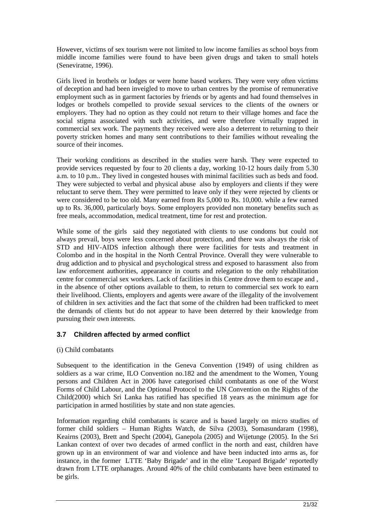However, victims of sex tourism were not limited to low income families as school boys from middle income families were found to have been given drugs and taken to small hotels (Seneviratne, 1996).

Girls lived in brothels or lodges or were home based workers. They were very often victims of deception and had been inveigled to move to urban centres by the promise of remunerative employment such as in garment factories by friends or by agents and had found themselves in lodges or brothels compelled to provide sexual services to the clients of the owners or employers. They had no option as they could not return to their village homes and face the social stigma associated with such activities, and were therefore virtually trapped in commercial sex work. The payments they received were also a deterrent to returning to their poverty stricken homes and many sent contributions to their families without revealing the source of their incomes.

Their working conditions as described in the studies were harsh. They were expected to provide services requested by four to 20 clients a day, working 10-12 hours daily from 5.30 a.m. to 10 p.m.. They lived in congested houses with minimal facilities such as beds and food. They were subjected to verbal and physical abuse also by employers and clients if they were reluctant to serve them. They were permitted to leave only if they were rejected by clients or were considered to be too old. Many earned from Rs 5,000 to Rs. 10,000. while a few earned up to Rs. 36,000, particularly boys. Some employers provided non monetary benefits such as free meals, accommodation, medical treatment, time for rest and protection.

While some of the girls said they negotiated with clients to use condoms but could not always prevail, boys were less concerned about protection, and there was always the risk of STD and HIV-AIDS infection although there were facilities for tests and treatment in Colombo and in the hospital in the North Central Province. Overall they were vulnerable to drug addiction and to physical and psychological stress and exposed to harassment also from law enforcement authorities, appearance in courts and relegation to the only rehabilitation centre for commercial sex workers. Lack of facilities in this Centre drove them to escape and , in the absence of other options available to them, to return to commercial sex work to earn their livelihood. Clients, employers and agents were aware of the illegality of the involvement of children in sex activities and the fact that some of the children had been trafficked to meet the demands of clients but do not appear to have been deterred by their knowledge from pursuing their own interests.

#### **3.7 Children affected by armed conflict**

#### (i) Child combatants

Subsequent to the identification in the Geneva Convention (1949) of using children as soldiers as a war crime, ILO Convention no.182 and the amendment to the Women, Young persons and Children Act in 2006 have categorised child combatants as one of the Worst Forms of Child Labour, and the Optional Protocol to the UN Convention on the Rights of the Child(2000) which Sri Lanka has ratified has specified 18 years as the minimum age for participation in armed hostilities by state and non state agencies.

Information regarding child combatants is scarce and is based largely on micro studies of former child soldiers – Human Rights Watch, de Silva (2003), Somasundaram (1998), Keairns (2003), Brett and Specht (2004), Ganepola (2005) and Wijetunge (2005). In the Sri Lankan context of over two decades of armed conflict in the north and east, children have grown up in an environment of war and violence and have been inducted into arms as, for instance, in the former LTTE 'Baby Brigade' and in the elite 'Leopard Brigade' reportedly drawn from LTTE orphanages. Around 40% of the child combatants have been estimated to be girls.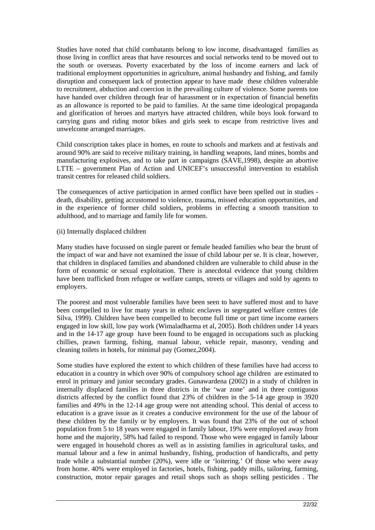Studies have noted that child combatants belong to low income, disadvantaged families as those living in conflict areas that have resources and social networks tend to be moved out to the south or overseas. Poverty exacerbated by the loss of income earners and lack of traditional employment opportunities in agriculture, animal husbandry and fishing, and family disruption and consequent lack of protection appear to have made these children vulnerable to recruitment, abduction and coercion in the prevailing culture of violence. Some parents too have handed over children through fear of harassment or in expectation of financial benefits as an allowance is reported to be paid to families. At the same time ideological propaganda and glorification of heroes and martyrs have attracted children, while boys look forward to carrying guns and riding motor bikes and girls seek to escape from restrictive lives and unwelcome arranged marriages.

Child conscription takes place in homes, en route to schools and markets and at festivals and around 90% are said to receive military training, in handling weapons, land mines, bombs and manufacturing explosives, and to take part in campaigns (SAVE,1998), despite an abortive LTTE – government Plan of Action and UNICEF's unsuccessful intervention to establish transit centres for released child soldiers.

The consequences of active participation in armed conflict have been spelled out in studies death, disability, getting accustomed to violence, trauma, missed education opportunities, and in the experience of former child soldiers, problems in effecting a smooth transition to adulthood, and to marriage and family life for women.

(ii) Internally displaced children

Many studies have focussed on single parent or female headed families who bear the brunt of the impact of war and have not examined the issue of child labour per se. It is clear, however, that children in displaced families and abandoned children are vulnerable to child abuse in the form of economic or sexual exploitation. There is anecdotal evidence that young children have been trafficked from refugee or welfare camps, streets or villages and sold by agents to employers.

The poorest and most vulnerable families have been seen to have suffered most and to have been compelled to live for many years in ethnic enclaves in segregated welfare centres (de Silva, 1999). Children have been compelled to become full time or part time income earners engaged in low skill, low pay work (Wimaladharma et al, 2005). Both children under 14 years and in the 14-17 age group have been found to be engaged in occupations such as plucking chillies, prawn farming, fishing, manual labour, vehicle repair, masonry, vending and cleaning toilets in hotels, for minimal pay (Gomez,2004).

Some studies have explored the extent to which children of these families have had access to education in a country in which over 90% of compulsory school age children are estimated to enrol in primary and junior secondary grades. Gunawardena (2002) in a study of children in internally displaced families in three districts in the 'war zone' and in three contiguous districts affected by the conflict found that 23% of children in the 5-14 age group in 3920 families and 49% in the 12-14 age group were not attending school. This denial of access to education is a grave issue as it creates a conducive environment for the use of the labour of these children by the family or by employers. It was found that 23% of the out of school population from 5 to 18 years were engaged in family labour, 19% were employed away from home and the majority, 58% had failed to respond. Those who were engaged in family labour were engaged in household chores as well as in assisting families in agricultural tasks, and manual labour and a few in animal husbandry, fishing, production of handicrafts, and petty trade while a substantial number (20%), were idle or 'loitering.' Of those who were away from home. 40% were employed in factories, hotels, fishing, paddy mills, tailoring, farming, construction, motor repair garages and retail shops such as shops selling pesticides . The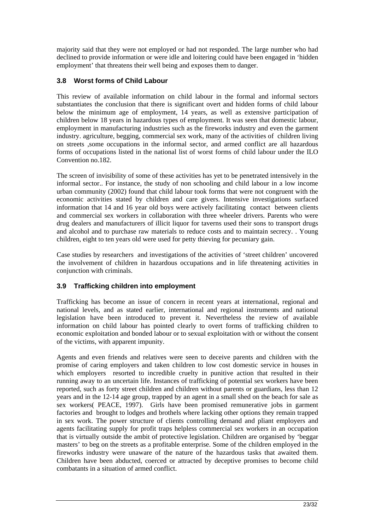majority said that they were not employed or had not responded. The large number who had declined to provide information or were idle and loitering could have been engaged in 'hidden employment' that threatens their well being and exposes them to danger.

#### **3.8 Worst forms of Child Labour**

This review of available information on child labour in the formal and informal sectors substantiates the conclusion that there is significant overt and hidden forms of child labour below the minimum age of employment, 14 years, as well as extensive participation of children below 18 years in hazardous types of employment. It was seen that domestic labour, employment in manufacturing industries such as the fireworks industry and even the garment industry. agriculture, begging, commercial sex work, many of the activities of children living on streets ,some occupations in the informal sector, and armed conflict are all hazardous forms of occupations listed in the national list of worst forms of child labour under the ILO Convention no.182.

The screen of invisibility of some of these activities has yet to be penetrated intensively in the informal sector.. For instance, the study of non schooling and child labour in a low income urban community (2002) found that child labour took forms that were not congruent with the economic activities stated by children and care givers. Intensive investigations surfaced information that 14 and 16 year old boys were actively facilitating contact between clients and commercial sex workers in collaboration with three wheeler drivers. Parents who were drug dealers and manufacturers of illicit liquor for taverns used their sons to transport drugs and alcohol and to purchase raw materials to reduce costs and to maintain secrecy. . Young children, eight to ten years old were used for petty thieving for pecuniary gain.

Case studies by researchers and investigations of the activities of 'street children' uncovered the involvement of children in hazardous occupations and in life threatening activities in conjunction with criminals.

#### **3.9 Trafficking children into employment**

Trafficking has become an issue of concern in recent years at international, regional and national levels, and as stated earlier, international and regional instruments and national legislation have been introduced to prevent it. Nevertheless the review of available information on child labour has pointed clearly to overt forms of trafficking children to economic exploitation and bonded labour or to sexual exploitation with or without the consent of the victims, with apparent impunity.

Agents and even friends and relatives were seen to deceive parents and children with the promise of caring employers and taken children to low cost domestic service in houses in which employers resorted to incredible cruelty in punitive action that resulted in their running away to an uncertain life. Instances of trafficking of potential sex workers have been reported, such as forty street children and children without parents or guardians, less than 12 years and in the 12-14 age group, trapped by an agent in a small shed on the beach for sale as sex workers( PEACE, 1997). Girls have been promised remunerative jobs in garment factories and brought to lodges and brothels where lacking other options they remain trapped in sex work. The power structure of clients controlling demand and pliant employers and agents facilitating supply for profit traps helpless commercial sex workers in an occupation that is virtually outside the ambit of protective legislation. Children are organised by 'beggar masters' to beg on the streets as a profitable enterprise. Some of the children employed in the fireworks industry were unaware of the nature of the hazardous tasks that awaited them. Children have been abducted, coerced or attracted by deceptive promises to become child combatants in a situation of armed conflict.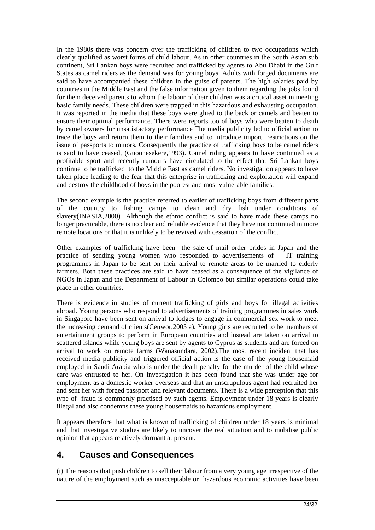In the 1980s there was concern over the trafficking of children to two occupations which clearly qualified as worst forms of child labour. As in other countries in the South Asian sub continent, Sri Lankan boys were recruited and trafficked by agents to Abu Dhabi in the Gulf States as camel riders as the demand was for young boys. Adults with forged documents are said to have accompanied these children in the guise of parents. The high salaries paid by countries in the Middle East and the false information given to them regarding the jobs found for them deceived parents to whom the labour of their children was a critical asset in meeting basic family needs. These children were trapped in this hazardous and exhausting occupation. It was reported in the media that these boys were glued to the back or camels and beaten to ensure their optimal performance. There were reports too of boys who were beaten to death by camel owners for unsatisfactory performance The media publicity led to official action to trace the boys and return them to their families and to introduce import restrictions on the issue of passports to minors. Consequently the practice of trafficking boys to be camel riders is said to have ceased, (Guoonesekere,1993). Camel riding appears to have continued as a profitable sport and recently rumours have circulated to the effect that Sri Lankan boys continue to be trafficked to the Middle East as camel riders. No investigation appears to have taken place leading to the fear that this enterprise in trafficking and exploitation will expand and destroy the childhood of boys in the poorest and most vulnerable families.

The second example is the practice referred to earlier of trafficking boys from different parts of the country to fishing camps to clean and dry fish under conditions of slavery(INASIA,2000) Although the ethnic conflict is said to have made these camps no longer practicable, there is no clear and reliable evidence that they have not continued in more remote locations or that it is unlikely to be revived with cessation of the conflict.

Other examples of trafficking have been the sale of mail order brides in Japan and the practice of sending young women who responded to advertisements of IT training programmes in Japan to be sent on their arrival to remote areas to be married to elderly farmers. Both these practices are said to have ceased as a consequence of the vigilance of NGOs in Japan and the Department of Labour in Colombo but similar operations could take place in other countries.

There is evidence in studies of current trafficking of girls and boys for illegal activities abroad. Young persons who respond to advertisements of training programmes in sales work in Singapore have been sent on arrival to lodges to engage in commercial sex work to meet the increasing demand of clients(Cenwor,2005 a). Young girls are recruited to be members of entertainment groups to perform in European countries and instead are taken on arrival to scattered islands while young boys are sent by agents to Cyprus as students and are forced on arrival to work on remote farms (Wanasundara, 2002).The most recent incident that has received media publicity and triggered official action is the case of the young housemaid employed in Saudi Arabia who is under the death penalty for the murder of the child whose care was entrusted to her. On investigation it has been found that she was under age for employment as a domestic worker overseas and that an unscrupulous agent had recruited her and sent her with forged passport and relevant documents. There is a wide perception that this type of fraud is commonly practised by such agents. Employment under 18 years is clearly illegal and also condemns these young housemaids to hazardous employment.

It appears therefore that what is known of trafficking of children under 18 years is minimal and that investigative studies are likely to uncover the real situation and to mobilise public opinion that appears relatively dormant at present.

# **4. Causes and Consequences**

(i) The reasons that push children to sell their labour from a very young age irrespective of the nature of the employment such as unacceptable or hazardous economic activities have been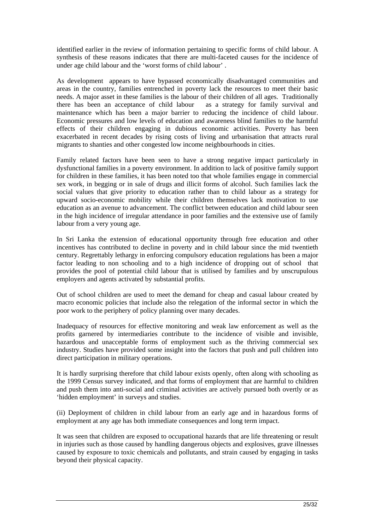identified earlier in the review of information pertaining to specific forms of child labour. A synthesis of these reasons indicates that there are multi-faceted causes for the incidence of under age child labour and the 'worst forms of child labour' .

As development appears to have bypassed economically disadvantaged communities and areas in the country, families entrenched in poverty lack the resources to meet their basic needs. A major asset in these families is the labour of their children of all ages. Traditionally there has been an acceptance of child labour as a strategy for family survival and maintenance which has been a major barrier to reducing the incidence of child labour. Economic pressures and low levels of education and awareness blind families to the harmful effects of their children engaging in dubious economic activities. Poverty has been exacerbated in recent decades by rising costs of living and urbanisation that attracts rural migrants to shanties and other congested low income neighbourhoods in cities.

Family related factors have been seen to have a strong negative impact particularly in dysfunctional families in a poverty environment. In addition to lack of positive family support for children in these families, it has been noted too that whole families engage in commercial sex work, in begging or in sale of drugs and illicit forms of alcohol. Such families lack the social values that give priority to education rather than to child labour as a strategy for upward socio-economic mobility while their children themselves lack motivation to use education as an avenue to advancement. The conflict between education and child labour seen in the high incidence of irregular attendance in poor families and the extensive use of family labour from a very young age.

In Sri Lanka the extension of educational opportunity through free education and other incentives has contributed to decline in poverty and in child labour since the mid twentieth century. Regrettably lethargy in enforcing compulsory education regulations has been a major factor leading to non schooling and to a high incidence of dropping out of school that provides the pool of potential child labour that is utilised by families and by unscrupulous employers and agents activated by substantial profits.

Out of school children are used to meet the demand for cheap and casual labour created by macro economic policies that include also the relegation of the informal sector in which the poor work to the periphery of policy planning over many decades.

Inadequacy of resources for effective monitoring and weak law enforcement as well as the profits garnered by intermediaries contribute to the incidence of visible and invisible, hazardous and unacceptable forms of employment such as the thriving commercial sex industry. Studies have provided some insight into the factors that push and pull children into direct participation in military operations.

It is hardly surprising therefore that child labour exists openly, often along with schooling as the 1999 Census survey indicated, and that forms of employment that are harmful to children and push them into anti-social and criminal activities are actively pursued both overtly or as 'hidden employment' in surveys and studies.

(ii) Deployment of children in child labour from an early age and in hazardous forms of employment at any age has both immediate consequences and long term impact.

It was seen that children are exposed to occupational hazards that are life threatening or result in injuries such as those caused by handling dangerous objects and explosives, grave illnesses caused by exposure to toxic chemicals and pollutants, and strain caused by engaging in tasks beyond their physical capacity.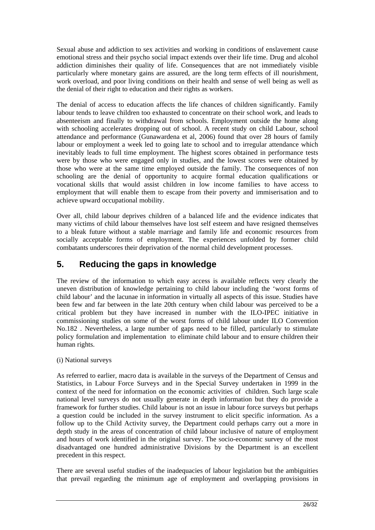Sexual abuse and addiction to sex activities and working in conditions of enslavement cause emotional stress and their psycho social impact extends over their life time. Drug and alcohol addiction diminishes their quality of life. Consequences that are not immediately visible particularly where monetary gains are assured, are the long term effects of ill nourishment, work overload, and poor living conditions on their health and sense of well being as well as the denial of their right to education and their rights as workers.

The denial of access to education affects the life chances of children significantly. Family labour tends to leave children too exhausted to concentrate on their school work, and leads to absenteeism and finally to withdrawal from schools. Employment outside the home along with schooling accelerates dropping out of school. A recent study on child Labour, school attendance and performance (Gunawardena et al, 2006) found that over 28 hours of family labour or employment a week led to going late to school and to irregular attendance which inevitably leads to full time employment. The highest scores obtained in performance tests were by those who were engaged only in studies, and the lowest scores were obtained by those who were at the same time employed outside the family. The consequences of non schooling are the denial of opportunity to acquire formal education qualifications or vocational skills that would assist children in low income families to have access to employment that will enable them to escape from their poverty and immiserisation and to achieve upward occupational mobility.

Over all, child labour deprives children of a balanced life and the evidence indicates that many victims of child labour themselves have lost self esteem and have resigned themselves to a bleak future without a stable marriage and family life and economic resources from socially acceptable forms of employment. The experiences unfolded by former child combatants underscores their deprivation of the normal child development processes.

# **5. Reducing the gaps in knowledge**

The review of the information to which easy access is available reflects very clearly the uneven distribution of knowledge pertaining to child labour including the 'worst forms of child labour' and the lacunae in information in virtually all aspects of this issue. Studies have been few and far between in the late 20th century when child labour was perceived to be a critical problem but they have increased in number with the ILO-IPEC initiative in commissioning studies on some of the worst forms of child labour under ILO Convention No.182 . Nevertheless, a large number of gaps need to be filled, particularly to stimulate policy formulation and implementation to eliminate child labour and to ensure children their human rights.

#### (i) National surveys

As referred to earlier, macro data is available in the surveys of the Department of Census and Statistics, in Labour Force Surveys and in the Special Survey undertaken in 1999 in the context of the need for information on the economic activities of children. Such large scale national level surveys do not usually generate in depth information but they do provide a framework for further studies. Child labour is not an issue in labour force surveys but perhaps a question could be included in the survey instrument to elicit specific information. As a follow up to the Child Activity survey, the Department could perhaps carry out a more in depth study in the areas of concentration of child labour inclusive of nature of employment and hours of work identified in the original survey. The socio-economic survey of the most disadvantaged one hundred administrative Divisions by the Department is an excellent precedent in this respect.

There are several useful studies of the inadequacies of labour legislation but the ambiguities that prevail regarding the minimum age of employment and overlapping provisions in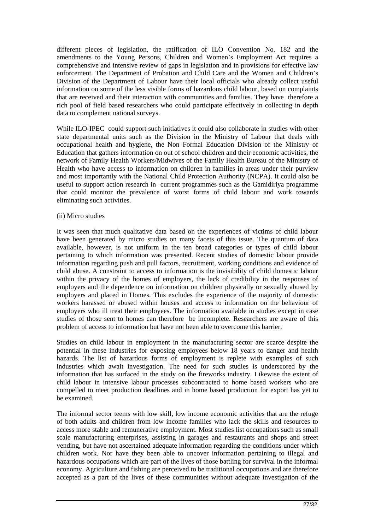different pieces of legislation, the ratification of ILO Convention No. 182 and the amendments to the Young Persons, Children and Women's Employment Act requires a comprehensive and intensive review of gaps in legislation and in provisions for effective law enforcement. The Department of Probation and Child Care and the Women and Children's Division of the Department of Labour have their local officials who already collect useful information on some of the less visible forms of hazardous child labour, based on complaints that are received and their interaction with communities and families. They have therefore a rich pool of field based researchers who could participate effectively in collecting in depth data to complement national surveys.

While ILO-IPEC could support such initiatives it could also collaborate in studies with other state departmental units such as the Division in the Ministry of Labour that deals with occupational health and hygiene, the Non Formal Education Division of the Ministry of Education that gathers information on out of school children and their economic activities, the network of Family Health Workers/Midwives of the Family Health Bureau of the Ministry of Health who have access to information on children in families in areas under their purview and most importantly with the National Child Protection Authority (NCPA). It could also be useful to support action research in current programmes such as the Gamidiriya programme that could monitor the prevalence of worst forms of child labour and work towards eliminating such activities.

#### (ii) Micro studies

It was seen that much qualitative data based on the experiences of victims of child labour have been generated by micro studies on many facets of this issue. The quantum of data available, however, is not uniform in the ten broad categories or types of child labour pertaining to which information was presented. Recent studies of domestic labour provide information regarding push and pull factors, recruitment, working conditions and evidence of child abuse. A constraint to access to information is the invisibility of child domestic labour within the privacy of the homes of employers, the lack of credibility in the responses of employers and the dependence on information on children physically or sexually abused by employers and placed in Homes. This excludes the experience of the majority of domestic workers harassed or abused within houses and access to information on the behaviour of employers who ill treat their employees. The information available in studies except in case studies of those sent to homes can therefore be incomplete. Researchers are aware of this problem of access to information but have not been able to overcome this barrier.

Studies on child labour in employment in the manufacturing sector are scarce despite the potential in these industries for exposing employees below 18 years to danger and health hazards. The list of hazardous forms of employment is replete with examples of such industries which await investigation. The need for such studies is underscored by the information that has surfaced in the study on the fireworks industry. Likewise the extent of child labour in intensive labour processes subcontracted to home based workers who are compelled to meet production deadlines and in home based production for export has yet to be examined.

The informal sector teems with low skill, low income economic activities that are the refuge of both adults and children from low income families who lack the skills and resources to access more stable and remunerative employment. Most studies list occupations such as small scale manufacturing enterprises, assisting in garages and restaurants and shops and street vending, but have not ascertained adequate information regarding the conditions under which children work. Nor have they been able to uncover information pertaining to illegal and hazardous occupations which are part of the lives of those battling for survival in the informal economy. Agriculture and fishing are perceived to be traditional occupations and are therefore accepted as a part of the lives of these communities without adequate investigation of the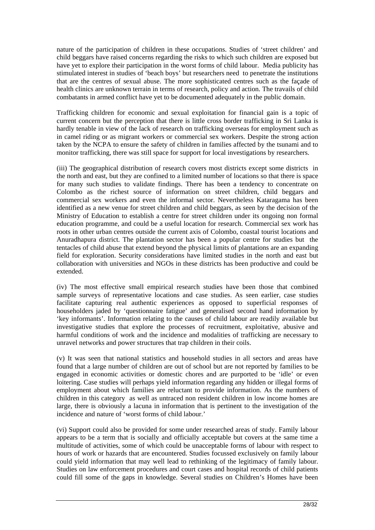nature of the participation of children in these occupations. Studies of 'street children' and child beggars have raised concerns regarding the risks to which such children are exposed but have yet to explore their participation in the worst forms of child labour. Media publicity has stimulated interest in studies of 'beach boys' but researchers need to penetrate the institutions that are the centres of sexual abuse. The more sophisticated centres such as the façade of health clinics are unknown terrain in terms of research, policy and action. The travails of child combatants in armed conflict have yet to be documented adequately in the public domain.

Trafficking children for economic and sexual exploitation for financial gain is a topic of current concern but the perception that there is little cross border trafficking in Sri Lanka is hardly tenable in view of the lack of research on trafficking overseas for employment such as in camel riding or as migrant workers or commercial sex workers. Despite the strong action taken by the NCPA to ensure the safety of children in families affected by the tsunami and to monitor trafficking, there was still space for support for local investigations by researchers.

(iii) The geographical distribution of research covers most districts except some districts in the north and east, but they are confined to a limited number of locations so that there is space for many such studies to validate findings. There has been a tendency to concentrate on Colombo as the richest source of information on street children, child beggars and commercial sex workers and even the informal sector. Nevertheless Kataragama has been identified as a new venue for street children and child beggars, as seen by the decision of the Ministry of Education to establish a centre for street children under its ongoing non formal education programme, and could be a useful location for research. Commercial sex work has roots in other urban centres outside the current axis of Colombo, coastal tourist locations and Anuradhapura district. The plantation sector has been a popular centre for studies but the tentacles of child abuse that extend beyond the physical limits of plantations are an expanding field for exploration. Security considerations have limited studies in the north and east but collaboration with universities and NGOs in these districts has been productive and could be extended.

(iv) The most effective small empirical research studies have been those that combined sample surveys of representative locations and case studies. As seen earlier, case studies facilitate capturing real authentic experiences as opposed to superficial responses of householders jaded by 'questionnaire fatigue' and generalised second hand information by 'key informants'. Information relating to the causes of child labour are readily available but investigative studies that explore the processes of recruitment, exploitative, abusive and harmful conditions of work and the incidence and modalities of trafficking are necessary to unravel networks and power structures that trap children in their coils.

(v) It was seen that national statistics and household studies in all sectors and areas have found that a large number of children are out of school but are not reported by families to be engaged in economic activities or domestic chores and are purported to be 'idle' or even loitering. Case studies will perhaps yield information regarding any hidden or illegal forms of employment about which families are reluctant to provide information. As the numbers of children in this category as well as untraced non resident children in low income homes are large, there is obviously a lacuna in information that is pertinent to the investigation of the incidence and nature of 'worst forms of child labour.'

(vi) Support could also be provided for some under researched areas of study. Family labour appears to be a term that is socially and officially acceptable but covers at the same time a multitude of activities, some of which could be unacceptable forms of labour with respect to hours of work or hazards that are encountered. Studies focussed exclusively on family labour could yield information that may well lead to rethinking of the legitimacy of family labour. Studies on law enforcement procedures and court cases and hospital records of child patients could fill some of the gaps in knowledge. Several studies on Children's Homes have been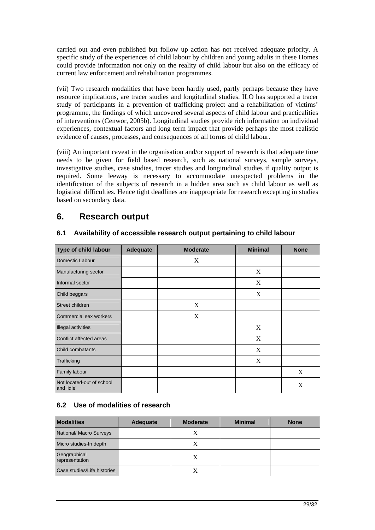carried out and even published but follow up action has not received adequate priority. A specific study of the experiences of child labour by children and young adults in these Homes could provide information not only on the reality of child labour but also on the efficacy of current law enforcement and rehabilitation programmes.

(vii) Two research modalities that have been hardly used, partly perhaps because they have resource implications, are tracer studies and longitudinal studies. ILO has supported a tracer study of participants in a prevention of trafficking project and a rehabilitation of victims' programme, the findings of which uncovered several aspects of child labour and practicalities of interventions (Cenwor, 2005b). Longitudinal studies provide rich information on individual experiences, contextual factors and long term impact that provide perhaps the most realistic evidence of causes, processes, and consequences of all forms of child labour.

(viii) An important caveat in the organisation and/or support of research is that adequate time needs to be given for field based research, such as national surveys, sample surveys, investigative studies, case studies, tracer studies and longitudinal studies if quality output is required. Some leeway is necessary to accommodate unexpected problems in the identification of the subjects of research in a hidden area such as child labour as well as logistical difficulties. Hence tight deadlines are inappropriate for research excepting in studies based on secondary data.

# **6. Research output**

| Type of child labour                    | <b>Adequate</b> | <b>Moderate</b> | <b>Minimal</b> | <b>None</b> |
|-----------------------------------------|-----------------|-----------------|----------------|-------------|
| Domestic Labour                         |                 | X               |                |             |
| Manufacturing sector                    |                 |                 | X              |             |
| Informal sector                         |                 |                 | X              |             |
| Child beggars                           |                 |                 | X              |             |
| Street children                         |                 | X               |                |             |
| Commercial sex workers                  |                 | X               |                |             |
| <b>Illegal activities</b>               |                 |                 | X              |             |
| Conflict affected areas                 |                 |                 | X              |             |
| Child combatants                        |                 |                 | X              |             |
| Trafficking                             |                 |                 | X              |             |
| Family labour                           |                 |                 |                | X           |
| Not located-out of school<br>and 'idle' |                 |                 |                | X           |

#### **6.1 Availability of accessible research output pertaining to child labour**

### **6.2 Use of modalities of research**

| <b>Modalities</b>              | <b>Adequate</b> | <b>Moderate</b> | <b>Minimal</b> | <b>None</b> |
|--------------------------------|-----------------|-----------------|----------------|-------------|
| National/ Macro Surveys        |                 | X               |                |             |
| Micro studies-In depth         |                 | X               |                |             |
| Geographical<br>representation |                 | X               |                |             |
| Case studies/Life histories    |                 |                 |                |             |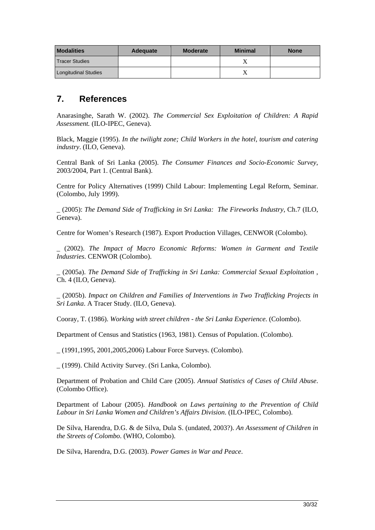| <b>Modalities</b>           | <b>Adequate</b> | <b>Moderate</b> | <b>Minimal</b> | <b>None</b> |
|-----------------------------|-----------------|-----------------|----------------|-------------|
| <b>Tracer Studies</b>       |                 |                 |                |             |
| <b>Longitudinal Studies</b> |                 |                 |                |             |

### **7. References**

Anarasinghe, Sarath W. (2002). *The Commercial Sex Exploitation of Children: A Rapid Assessment.* (ILO-IPEC, Geneva).

Black, Maggie (1995). *In the twilight zone; Child Workers in the hotel, tourism and catering industry*. (ILO, Geneva).

Central Bank of Sri Lanka (2005). *The Consumer Finances and Socio-Economic Survey*, 2003/2004, Part 1. (Central Bank).

Centre for Policy Alternatives (1999) Child Labour: Implementing Legal Reform, Seminar. (Colombo, July 1999).

\_ (2005): *The Demand Side of Trafficking in Sri Lanka: The Fireworks Industry,* Ch.7 (ILO, Geneva).

Centre for Women's Research (1987). Export Production Villages, CENWOR (Colombo).

\_ (2002). *The Impact of Macro Economic Reforms: Women in Garment and Textile Industries*. CENWOR (Colombo).

\_ (2005a). *The Demand Side of Trafficking in Sri Lanka: Commercial Sexual Exploitation* , Ch. 4 (ILO, Geneva).

\_ (2005b). *Impact on Children and Families of Interventions in Two Trafficking Projects in Sri Lanka*. A Tracer Study. (ILO, Geneva).

Cooray, T. (1986). *Working with street children - the Sri Lanka Experience*. (Colombo).

Department of Census and Statistics (1963, 1981). Census of Population. (Colombo).

\_ (1991,1995, 2001,2005,2006) Labour Force Surveys. (Colombo).

\_ (1999). Child Activity Survey. (Sri Lanka, Colombo).

Department of Probation and Child Care (2005). *Annual Statistics of Cases of Child Abuse*. (Colombo Office).

Department of Labour (2005). *Handbook on Laws pertaining to the Prevention of Child Labour in Sri Lanka Women and Children's Affairs Division*. (ILO-IPEC, Colombo).

De Silva, Harendra, D.G. & de Silva, Dula S. (undated, 2003?). *An Assessment of Children in the Streets of Colombo*. (WHO, Colombo).

De Silva, Harendra, D.G. (2003). *Power Games in War and Peace*.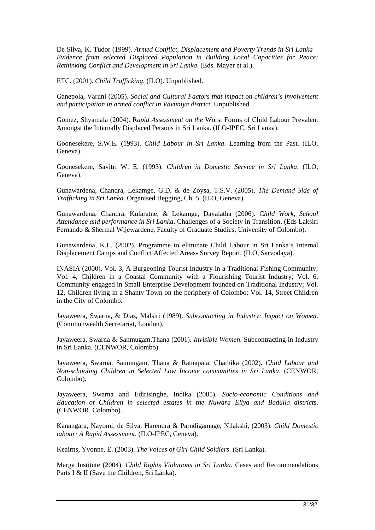De Silva, K. Tudor (1999). *Armed Conflict, Displacement and Poverty Trends in Sri Lanka – Evidence from selected Displaced Population in Building Local Capacities for Peace: Rethinking Conflict and Development in Sri Lanka*. (Eds. Mayer et al.).

ETC. (2001). *Child Trafficking*. (ILO). Unpublished.

Ganepola, Varuni (2005). *Social and Cultural Factors that impact on children's involvement and participation in armed conflict in Vavuniya district*. Unpublished.

Gomez, Shyamala (2004). R*apid Assessment on the* Worst Forms of Child Labour Prevalent Amongst the Internally Displaced Persons in Sri Lanka. (ILO-IPEC, Sri Lanka).

Goonesekere, S.W.E. (1993). *Child Labour in Sri Lanka*. Learning from the Past. (ILO, Geneva).

Goonesekere, Savitri W. E. (1993). *Children in Domestic Service in Sri Lanka*. (ILO, Geneva).

Gunawardena, Chandra, Lekamge, G.D. & de Zoysa, T.S.V. (2005). *The Demand Side of Trafficking in Sri Lanka*. Organised Begging, Ch. 5. (ILO, Geneva).

Gunawardena, Chandra, Kularatne, & Lekamge, Dayalatha (2006). C*hild Work, School Attendance and performance in Sri Lanka*. Challenges of a Society in Transition. (Eds Laksiri Fernando & Shermal Wijewardene, Faculty of Graduate Studies, University of Colombo).

Gunawardena, K.L. (2002). Programme to eliminate Child Labour in Sri Lanka's Internal Displacement Camps and Conflict Affected Areas- Survey Report. (ILO, Sarvodaya).

INASIA (2000). Vol. 3, A Burgeoning Tourist Industry in a Traditional Fishing Community; Vol. 4, Children in a Coastal Community with a Flourishing Tourist Industry; Vol. 6, Community engaged in Small Enterprise Development founded on Traditional Industry; Vol. 12, Children living in a Shanty Town on the periphery of Colombo; Vol. 14, Street Children in the City of Colombo.

Jayaweera, Swarna, & Dias, Malsiri (1989). *Subcontacting in Industry: Impact on Women*. (Commonwealth Secretariat, London).

Jayaweera, Swarna & Sanmugam,Thana (2001). *Invisible Women*. Subcontracting in Industry in Sri Lanka. (CENWOR, Colombo).

Jayaweera, Swarna, Sanmugam, Thana & Ratnapala, Chathika (2002). *Child Labour and Non-schooling Children in Selected Low Income communities in Sri Lanka*. (CENWOR, Colombo).

Jayaweera, Swarna and Edirisinghe, Indika (2005). *Socio-economic Conditions and Education of Children in selected estates in the Nuwara Eliya and Badulla district*s. (CENWOR, Colombo).

Kanangara, Nayomi, de Silva, Harendra & Parndigamage, Nilakshi, (2003). *Child Domestic labour: A Rapid Assessment*. (ILO-IPEC, Geneva).

Keairns, Yvonne. E. (2003). *The Voices of Girl Child Soldiers*. (Sri Lanka).

Marga Institute (2004). *Child Rights Violations in Sri Lanka*. Cases and Recommendations Parts I & II (Save the Children, Sri Lanka).